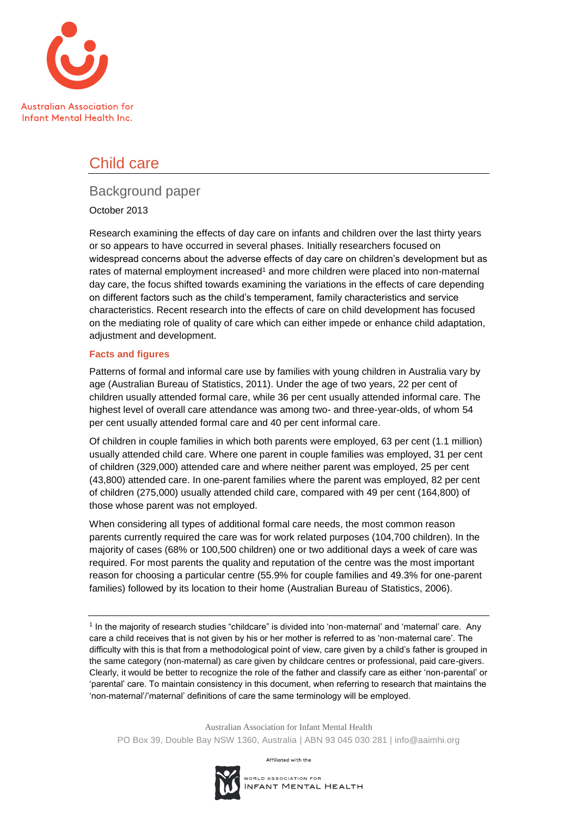

# Child care

# Background paper

#### October 2013

Research examining the effects of day care on infants and children over the last thirty years or so appears to have occurred in several phases. Initially researchers focused on widespread concerns about the adverse effects of day care on children's development but as rates of maternal employment increased<sup>1</sup> and more children were placed into non-maternal day care, the focus shifted towards examining the variations in the effects of care depending on different factors such as the child's temperament, family characteristics and service characteristics. Recent research into the effects of care on child development has focused on the mediating role of quality of care which can either impede or enhance child adaptation, adjustment and development.

#### **Facts and figures**

Patterns of formal and informal care use by families with young children in Australia vary by age (Australian Bureau of Statistics, 2011). Under the age of two years, 22 per cent of children usually attended formal care, while 36 per cent usually attended informal care. The highest level of overall care attendance was among two- and three-year-olds, of whom 54 per cent usually attended formal care and 40 per cent informal care.

Of children in couple families in which both parents were employed, 63 per cent (1.1 million) usually attended child care. Where one parent in couple families was employed, 31 per cent of children (329,000) attended care and where neither parent was employed, 25 per cent (43,800) attended care. In one-parent families where the parent was employed, 82 per cent of children (275,000) usually attended child care, compared with 49 per cent (164,800) of those whose parent was not employed.

When considering all types of additional formal care needs, the most common reason parents currently required the care was for work related purposes (104,700 children). In the majority of cases (68% or 100,500 children) one or two additional days a week of care was required. For most parents the quality and reputation of the centre was the most important reason for choosing a particular centre (55.9% for couple families and 49.3% for one-parent families) followed by its location to their home (Australian Bureau of Statistics, 2006).

1 In the majority of research studies "childcare" is divided into 'non-maternal' and 'maternal' care. Any care a child receives that is not given by his or her mother is referred to as 'non-maternal care'. The difficulty with this is that from a methodological point of view, care given by a child's father is grouped in the same category (non-maternal) as care given by childcare centres or professional, paid care-givers. Clearly, it would be better to recognize the role of the father and classify care as either 'non-parental' or 'parental' care. To maintain consistency in this document, when referring to research that maintains the 'non-maternal'/'maternal' definitions of care the same terminology will be employed.

Australian Association for Infant Mental Health PO Box 39, Double Bay NSW 1360, Australia | ABN 93 045 030 281 | info@aaimhi.org

Affiliated with the

WORLD ASSOCIATION FOR INFANT MENTAL HEALTH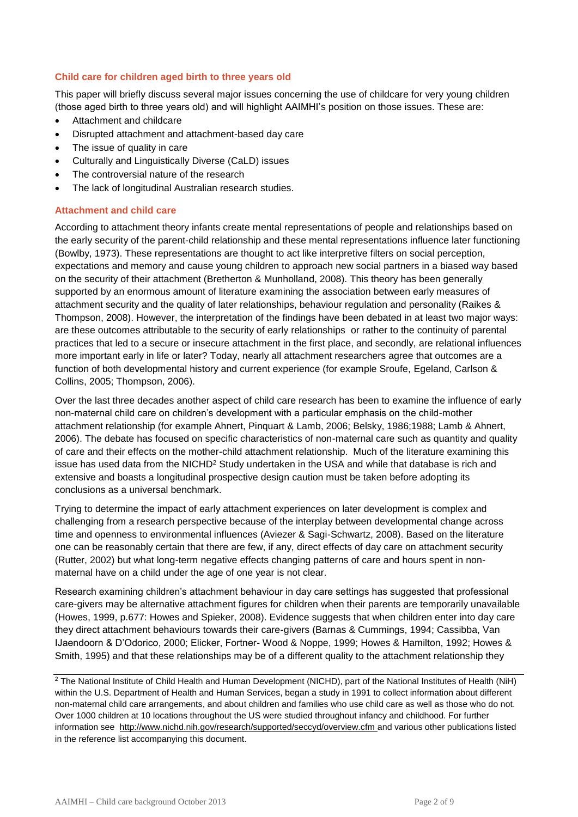#### **Child care for children aged birth to three years old**

This paper will briefly discuss several major issues concerning the use of childcare for very young children (those aged birth to three years old) and will highlight AAIMHI's position on those issues. These are:

- Attachment and childcare
- Disrupted attachment and attachment-based day care
- The issue of quality in care
- Culturally and Linguistically Diverse (CaLD) issues
- The controversial nature of the research
- The lack of longitudinal Australian research studies.

#### **Attachment and child care**

According to attachment theory infants create mental representations of people and relationships based on the early security of the parent-child relationship and these mental representations influence later functioning (Bowlby, 1973). These representations are thought to act like interpretive filters on social perception, expectations and memory and cause young children to approach new social partners in a biased way based on the security of their attachment (Bretherton & Munholland, 2008). This theory has been generally supported by an enormous amount of literature examining the association between early measures of attachment security and the quality of later relationships, behaviour regulation and personality (Raikes & Thompson, 2008). However, the interpretation of the findings have been debated in at least two major ways: are these outcomes attributable to the security of early relationships or rather to the continuity of parental practices that led to a secure or insecure attachment in the first place, and secondly, are relational influences more important early in life or later? Today, nearly all attachment researchers agree that outcomes are a function of both developmental history and current experience (for example Sroufe, Egeland, Carlson & Collins, 2005; Thompson, 2006).

Over the last three decades another aspect of child care research has been to examine the influence of early non-maternal child care on children's development with a particular emphasis on the child-mother attachment relationship (for example Ahnert, Pinquart & Lamb, 2006; Belsky, 1986;1988; Lamb & Ahnert, 2006). The debate has focused on specific characteristics of non-maternal care such as quantity and quality of care and their effects on the mother-child attachment relationship. Much of the literature examining this issue has used data from the NICHD<sup>2</sup> Study undertaken in the USA and while that database is rich and extensive and boasts a longitudinal prospective design caution must be taken before adopting its conclusions as a universal benchmark.

Trying to determine the impact of early attachment experiences on later development is complex and challenging from a research perspective because of the interplay between developmental change across time and openness to environmental influences (Aviezer & Sagi-Schwartz, 2008). Based on the literature one can be reasonably certain that there are few, if any, direct effects of day care on attachment security (Rutter, 2002) but what long-term negative effects changing patterns of care and hours spent in nonmaternal have on a child under the age of one year is not clear.

Research examining children's attachment behaviour in day care settings has suggested that professional care-givers may be alternative attachment figures for children when their parents are temporarily unavailable (Howes, 1999, p.677: Howes and Spieker, 2008). Evidence suggests that when children enter into day care they direct attachment behaviours towards their care-givers (Barnas & Cummings, 1994; Cassibba, Van IJaendoorn & D'Odorico, 2000; Elicker, Fortner- Wood & Noppe, 1999; Howes & Hamilton, 1992; Howes & Smith, 1995) and that these relationships may be of a different quality to the attachment relationship they

 $2$  The National Institute of Child Health and Human Development (NICHD), part of the National Institutes of Health (NiH) within the U.S. Department of Health and Human Services, began a study in 1991 to collect information about different non-maternal child care arrangements, and about children and families who use child care as well as those who do not. Over 1000 children at 10 locations throughout the US were studied throughout infancy and childhood. For further information see <http://www.nichd.nih.gov/research/supported/seccyd/overview.cfm> and various other publications listed in the reference list accompanying this document.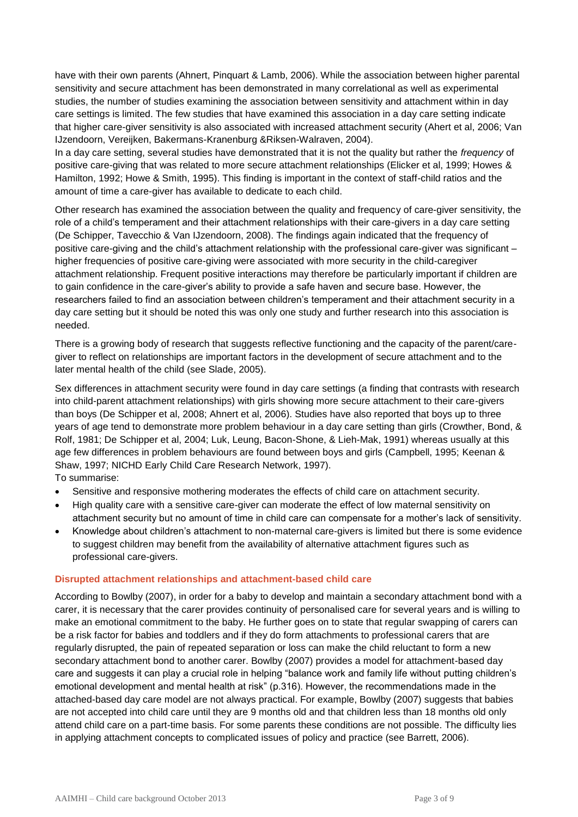have with their own parents (Ahnert, Pinquart & Lamb, 2006). While the association between higher parental sensitivity and secure attachment has been demonstrated in many correlational as well as experimental studies, the number of studies examining the association between sensitivity and attachment within in day care settings is limited. The few studies that have examined this association in a day care setting indicate that higher care-giver sensitivity is also associated with increased attachment security (Ahert et al, 2006; Van IJzendoorn, Vereijken, Bakermans-Kranenburg &Riksen-Walraven, 2004).

In a day care setting, several studies have demonstrated that it is not the quality but rather the *frequency* of positive care-giving that was related to more secure attachment relationships (Elicker et al, 1999; Howes & Hamilton, 1992; Howe & Smith, 1995). This finding is important in the context of staff-child ratios and the amount of time a care-giver has available to dedicate to each child.

Other research has examined the association between the quality and frequency of care-giver sensitivity, the role of a child's temperament and their attachment relationships with their care-givers in a day care setting (De Schipper, Tavecchio & Van IJzendoorn, 2008). The findings again indicated that the frequency of positive care-giving and the child's attachment relationship with the professional care-giver was significant – higher frequencies of positive care-giving were associated with more security in the child-caregiver attachment relationship. Frequent positive interactions may therefore be particularly important if children are to gain confidence in the care-giver's ability to provide a safe haven and secure base. However, the researchers failed to find an association between children's temperament and their attachment security in a day care setting but it should be noted this was only one study and further research into this association is needed.

There is a growing body of research that suggests reflective functioning and the capacity of the parent/caregiver to reflect on relationships are important factors in the development of secure attachment and to the later mental health of the child (see Slade, 2005).

Sex differences in attachment security were found in day care settings (a finding that contrasts with research into child-parent attachment relationships) with girls showing more secure attachment to their care-givers than boys (De Schipper et al, 2008; Ahnert et al, 2006). Studies have also reported that boys up to three years of age tend to demonstrate more problem behaviour in a day care setting than girls (Crowther, Bond, & Rolf, 1981; De Schipper et al, 2004; Luk, Leung, Bacon-Shone, & Lieh-Mak, 1991) whereas usually at this age few differences in problem behaviours are found between boys and girls (Campbell, 1995; Keenan & Shaw, 1997; NICHD Early Child Care Research Network, 1997). To summarise:

- Sensitive and responsive mothering moderates the effects of child care on attachment security.
- High quality care with a sensitive care-giver can moderate the effect of low maternal sensitivity on attachment security but no amount of time in child care can compensate for a mother's lack of sensitivity.
- Knowledge about children's attachment to non-maternal care-givers is limited but there is some evidence to suggest children may benefit from the availability of alternative attachment figures such as professional care-givers.

#### **Disrupted attachment relationships and attachment-based child care**

According to Bowlby (2007), in order for a baby to develop and maintain a secondary attachment bond with a carer, it is necessary that the carer provides continuity of personalised care for several years and is willing to make an emotional commitment to the baby. He further goes on to state that regular swapping of carers can be a risk factor for babies and toddlers and if they do form attachments to professional carers that are regularly disrupted, the pain of repeated separation or loss can make the child reluctant to form a new secondary attachment bond to another carer. Bowlby (2007) provides a model for attachment-based day care and suggests it can play a crucial role in helping "balance work and family life without putting children's emotional development and mental health at risk" (p.316). However, the recommendations made in the attached-based day care model are not always practical. For example, Bowlby (2007) suggests that babies are not accepted into child care until they are 9 months old and that children less than 18 months old only attend child care on a part-time basis. For some parents these conditions are not possible. The difficulty lies in applying attachment concepts to complicated issues of policy and practice (see Barrett, 2006).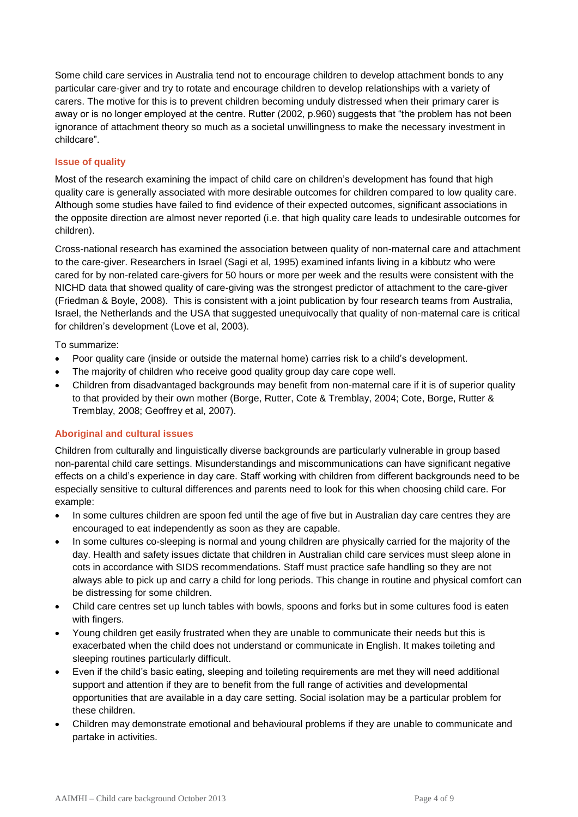Some child care services in Australia tend not to encourage children to develop attachment bonds to any particular care-giver and try to rotate and encourage children to develop relationships with a variety of carers. The motive for this is to prevent children becoming unduly distressed when their primary carer is away or is no longer employed at the centre. Rutter (2002, p.960) suggests that "the problem has not been ignorance of attachment theory so much as a societal unwillingness to make the necessary investment in childcare".

#### **Issue of quality**

Most of the research examining the impact of child care on children's development has found that high quality care is generally associated with more desirable outcomes for children compared to low quality care. Although some studies have failed to find evidence of their expected outcomes, significant associations in the opposite direction are almost never reported (i.e. that high quality care leads to undesirable outcomes for children).

Cross-national research has examined the association between quality of non-maternal care and attachment to the care-giver. Researchers in Israel (Sagi et al, 1995) examined infants living in a kibbutz who were cared for by non-related care-givers for 50 hours or more per week and the results were consistent with the NICHD data that showed quality of care-giving was the strongest predictor of attachment to the care-giver (Friedman & Boyle, 2008). This is consistent with a joint publication by four research teams from Australia, Israel, the Netherlands and the USA that suggested unequivocally that quality of non-maternal care is critical for children's development (Love et al, 2003).

To summarize:

- Poor quality care (inside or outside the maternal home) carries risk to a child's development.
- The majority of children who receive good quality group day care cope well.
- Children from disadvantaged backgrounds may benefit from non-maternal care if it is of superior quality to that provided by their own mother (Borge, Rutter, Cote & Tremblay, 2004; Cote, Borge, Rutter & Tremblay, 2008; Geoffrey et al, 2007).

#### **Aboriginal and cultural issues**

Children from culturally and linguistically diverse backgrounds are particularly vulnerable in group based non-parental child care settings. Misunderstandings and miscommunications can have significant negative effects on a child's experience in day care. Staff working with children from different backgrounds need to be especially sensitive to cultural differences and parents need to look for this when choosing child care. For example:

- In some cultures children are spoon fed until the age of five but in Australian day care centres they are encouraged to eat independently as soon as they are capable.
- In some cultures co-sleeping is normal and young children are physically carried for the majority of the day. Health and safety issues dictate that children in Australian child care services must sleep alone in cots in accordance with SIDS recommendations. Staff must practice safe handling so they are not always able to pick up and carry a child for long periods. This change in routine and physical comfort can be distressing for some children.
- Child care centres set up lunch tables with bowls, spoons and forks but in some cultures food is eaten with fingers.
- Young children get easily frustrated when they are unable to communicate their needs but this is exacerbated when the child does not understand or communicate in English. It makes toileting and sleeping routines particularly difficult.
- Even if the child's basic eating, sleeping and toileting requirements are met they will need additional support and attention if they are to benefit from the full range of activities and developmental opportunities that are available in a day care setting. Social isolation may be a particular problem for these children.
- Children may demonstrate emotional and behavioural problems if they are unable to communicate and partake in activities.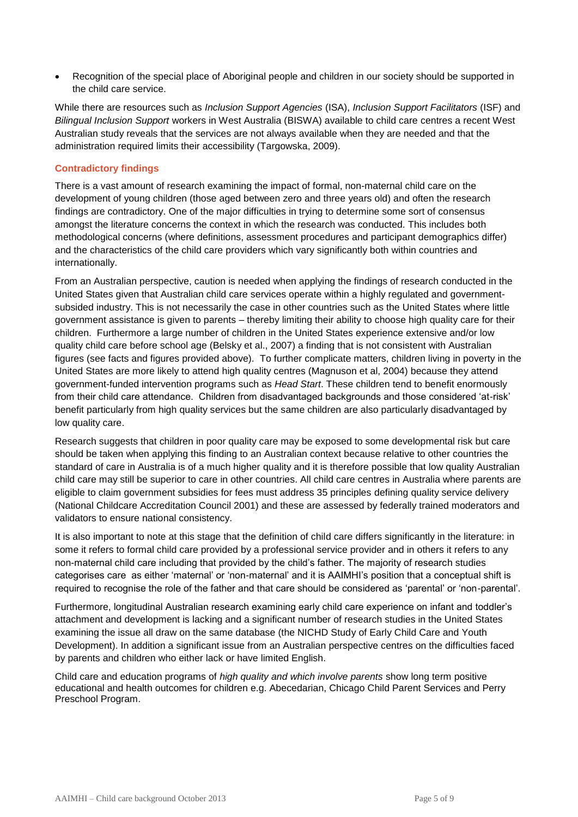• Recognition of the special place of Aboriginal people and children in our society should be supported in the child care service.

While there are resources such as *Inclusion Support Agencies* (ISA), *Inclusion Support Facilitators* (ISF) and *Bilingual Inclusion Support* workers in West Australia (BISWA) available to child care centres a recent West Australian study reveals that the services are not always available when they are needed and that the administration required limits their accessibility (Targowska, 2009).

#### **Contradictory findings**

There is a vast amount of research examining the impact of formal, non-maternal child care on the development of young children (those aged between zero and three years old) and often the research findings are contradictory. One of the major difficulties in trying to determine some sort of consensus amongst the literature concerns the context in which the research was conducted. This includes both methodological concerns (where definitions, assessment procedures and participant demographics differ) and the characteristics of the child care providers which vary significantly both within countries and internationally.

From an Australian perspective, caution is needed when applying the findings of research conducted in the United States given that Australian child care services operate within a highly regulated and governmentsubsided industry. This is not necessarily the case in other countries such as the United States where little government assistance is given to parents – thereby limiting their ability to choose high quality care for their children. Furthermore a large number of children in the United States experience extensive and/or low quality child care before school age (Belsky et al., 2007) a finding that is not consistent with Australian figures (see facts and figures provided above). To further complicate matters, children living in poverty in the United States are more likely to attend high quality centres (Magnuson et al, 2004) because they attend government-funded intervention programs such as *Head Start*. These children tend to benefit enormously from their child care attendance. Children from disadvantaged backgrounds and those considered 'at-risk' benefit particularly from high quality services but the same children are also particularly disadvantaged by low quality care.

Research suggests that children in poor quality care may be exposed to some developmental risk but care should be taken when applying this finding to an Australian context because relative to other countries the standard of care in Australia is of a much higher quality and it is therefore possible that low quality Australian child care may still be superior to care in other countries. All child care centres in Australia where parents are eligible to claim government subsidies for fees must address 35 principles defining quality service delivery (National Childcare Accreditation Council 2001) and these are assessed by federally trained moderators and validators to ensure national consistency.

It is also important to note at this stage that the definition of child care differs significantly in the literature: in some it refers to formal child care provided by a professional service provider and in others it refers to any non-maternal child care including that provided by the child's father. The majority of research studies categorises care as either 'maternal' or 'non-maternal' and it is AAIMHI's position that a conceptual shift is required to recognise the role of the father and that care should be considered as 'parental' or 'non-parental'.

Furthermore, longitudinal Australian research examining early child care experience on infant and toddler's attachment and development is lacking and a significant number of research studies in the United States examining the issue all draw on the same database (the NICHD Study of Early Child Care and Youth Development). In addition a significant issue from an Australian perspective centres on the difficulties faced by parents and children who either lack or have limited English.

Child care and education programs of *high quality and which involve parents* show long term positive educational and health outcomes for children e.g. Abecedarian, Chicago Child Parent Services and Perry Preschool Program.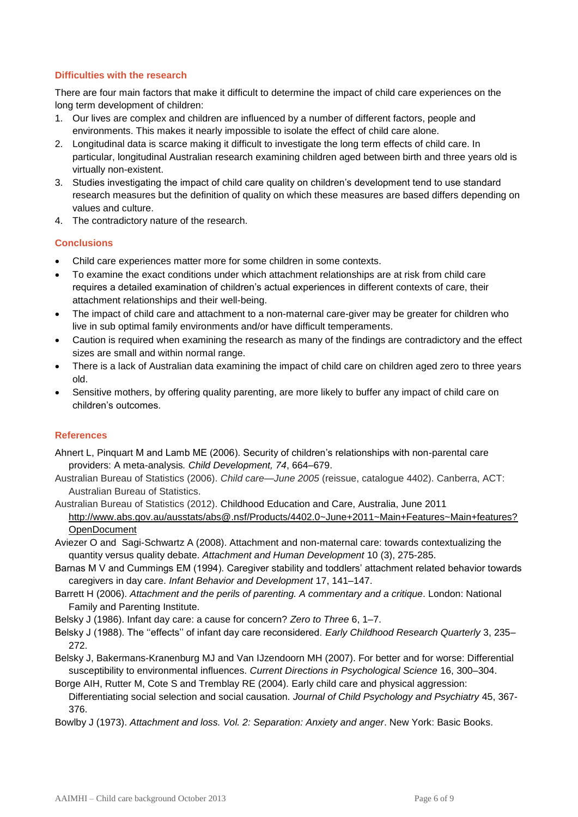### **Difficulties with the research**

There are four main factors that make it difficult to determine the impact of child care experiences on the long term development of children:

- 1. Our lives are complex and children are influenced by a number of different factors, people and environments. This makes it nearly impossible to isolate the effect of child care alone.
- 2. Longitudinal data is scarce making it difficult to investigate the long term effects of child care. In particular, longitudinal Australian research examining children aged between birth and three years old is virtually non-existent.
- 3. Studies investigating the impact of child care quality on children's development tend to use standard research measures but the definition of quality on which these measures are based differs depending on values and culture.
- 4. The contradictory nature of the research.

#### **Conclusions**

- Child care experiences matter more for some children in some contexts.
- To examine the exact conditions under which attachment relationships are at risk from child care requires a detailed examination of children's actual experiences in different contexts of care, their attachment relationships and their well-being.
- The impact of child care and attachment to a non-maternal care-giver may be greater for children who live in sub optimal family environments and/or have difficult temperaments.
- Caution is required when examining the research as many of the findings are contradictory and the effect sizes are small and within normal range.
- There is a lack of Australian data examining the impact of child care on children aged zero to three years old.
- Sensitive mothers, by offering quality parenting, are more likely to buffer any impact of child care on children's outcomes.

## **References**

- Ahnert L, Pinquart M and Lamb ME (2006). Security of children's relationships with non-parental care providers: A meta-analysis*. Child Development, 74*, 664–679.
- Australian Bureau of Statistics (2006). *Child care—June 2005* (reissue, catalogue 4402). Canberra, ACT: Australian Bureau of Statistics.
- Australian Bureau of Statistics (2012). Childhood Education and Care, Australia, June 2011 [http://www.abs.gov.au/ausstats/abs@.nsf/Products/4402.0~June+2011~Main+Features~Main+features?](http://www.abs.gov.au/ausstats/abs@.nsf/Products/4402.0~June+2011~Main+Features~Main+features?OpenDocument) **[OpenDocument](http://www.abs.gov.au/ausstats/abs@.nsf/Products/4402.0~June+2011~Main+Features~Main+features?OpenDocument)**
- Aviezer O and Sagi-Schwartz A (2008). Attachment and non-maternal care: towards contextualizing the quantity versus quality debate. *Attachment and Human Development* 10 (3), 275-285.
- Barnas M V and Cummings EM (1994). Caregiver stability and toddlers' attachment related behavior towards caregivers in day care. *Infant Behavior and Development* 17, 141–147.
- Barrett H (2006). *Attachment and the perils of parenting. A commentary and a critique*. London: National Family and Parenting Institute.
- Belsky J (1986). Infant day care: a cause for concern? *Zero to Three* 6, 1–7.
- Belsky J (1988). The ''effects'' of infant day care reconsidered. *Early Childhood Research Quarterly* 3, 235– 272.
- Belsky J, Bakermans-Kranenburg MJ and Van IJzendoorn MH (2007). For better and for worse: Differential susceptibility to environmental influences. *Current Directions in Psychological Science* 16, 300–304.
- Borge AIH, Rutter M, Cote S and Tremblay RE (2004). Early child care and physical aggression: Differentiating social selection and social causation. *Journal of Child Psychology and Psychiatry* 45, 367- 376.
- Bowlby J (1973). *Attachment and loss. Vol. 2: Separation: Anxiety and anger*. New York: Basic Books.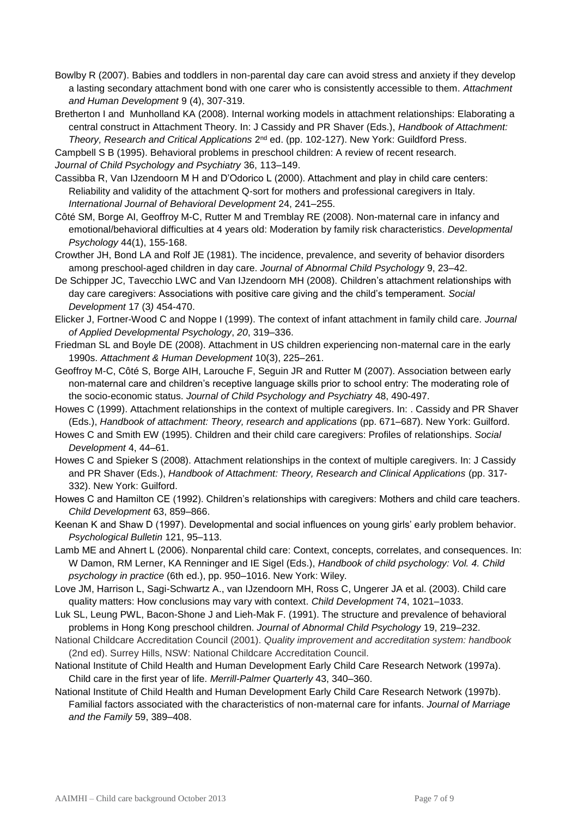- Bowlby R (2007). Babies and toddlers in non-parental day care can avoid stress and anxiety if they develop a lasting secondary attachment bond with one carer who is consistently accessible to them. *Attachment and Human Development* 9 (4), 307-319.
- Bretherton I and Munholland KA (2008). Internal working models in attachment relationships: Elaborating a central construct in Attachment Theory. In: J Cassidy and PR Shaver (Eds.), *Handbook of Attachment: Theory, Research and Critical Applications*  $2^{nd}$  ed. (pp. 102-127). New York: Guildford Press.

Campbell S B (1995). Behavioral problems in preschool children: A review of recent research.

*Journal of Child Psychology and Psychiatry* 36, 113–149.

Cassibba R, Van IJzendoorn M H and D'Odorico L (2000). Attachment and play in child care centers: Reliability and validity of the attachment Q-sort for mothers and professional caregivers in Italy. *International Journal of Behavioral Development* 24, 241–255.

Côté SM, Borge AI, Geoffroy M-C, Rutter M and Tremblay RE (2008). Non-maternal care in infancy and emotional/behavioral difficulties at 4 years old: Moderation by family risk characteristics. *Developmental Psychology* 44(1), 155-168.

- Crowther JH, Bond LA and Rolf JE (1981). The incidence, prevalence, and severity of behavior disorders among preschool-aged children in day care. *Journal of Abnormal Child Psychology* 9, 23–42.
- De Schipper JC, Tavecchio LWC and Van IJzendoorn MH (2008). Children's attachment relationships with day care caregivers: Associations with positive care giving and the child's temperament. *Social Development* 17 (3*)* 454-470.
- Elicker J, Fortner-Wood C and Noppe I (1999). The context of infant attachment in family child care. *Journal of Applied Developmental Psychology*, *20*, 319–336.

Friedman SL and Boyle DE (2008). Attachment in US children experiencing non-maternal care in the early 1990s. *Attachment & Human Development* 10(3), 225–261.

- Geoffroy M-C, Côté S, Borge AIH, Larouche F, Seguin JR and Rutter M (2007). Association between early non-maternal care and children's receptive language skills prior to school entry: The moderating role of the socio-economic status. *Journal of Child Psychology and Psychiatry* 48, 490-497.
- Howes C (1999). Attachment relationships in the context of multiple caregivers. In: . Cassidy and PR Shaver (Eds.), *Handbook of attachment: Theory, research and applications* (pp. 671–687). New York: Guilford.
- Howes C and Smith EW (1995). Children and their child care caregivers: Profiles of relationships. *Social Development* 4, 44–61.

Howes C and Spieker S (2008). Attachment relationships in the context of multiple caregivers. In: J Cassidy and PR Shaver (Eds.), *Handbook of Attachment: Theory, Research and Clinical Applications* (pp. 317- 332). New York: Guilford.

- Howes C and Hamilton CE (1992). Children's relationships with caregivers: Mothers and child care teachers. *Child Development* 63, 859–866.
- Keenan K and Shaw D (1997). Developmental and social influences on young girls' early problem behavior. *Psychological Bulletin* 121, 95–113.
- Lamb ME and Ahnert L (2006). Nonparental child care: Context, concepts, correlates, and consequences. In: W Damon, RM Lerner, KA Renninger and IE Sigel (Eds.), *Handbook of child psychology: Vol. 4. Child psychology in practice* (6th ed.), pp. 950–1016. New York: Wiley.
- Love JM, Harrison L, Sagi-Schwartz A., van IJzendoorn MH, Ross C, Ungerer JA et al. (2003). Child care quality matters: How conclusions may vary with context. *Child Development* 74, 1021–1033.
- Luk SL, Leung PWL, Bacon-Shone J and Lieh-Mak F. (1991). The structure and prevalence of behavioral problems in Hong Kong preschool children. *Journal of Abnormal Child Psychology* 19, 219–232.
- National Childcare Accreditation Council (2001). *Quality improvement and accreditation system: handbook*  (2nd ed). Surrey Hills, NSW: National Childcare Accreditation Council.
- National Institute of Child Health and Human Development Early Child Care Research Network (1997a). Child care in the first year of life. *Merrill-Palmer Quarterly* 43, 340–360.

National Institute of Child Health and Human Development Early Child Care Research Network (1997b). Familial factors associated with the characteristics of non-maternal care for infants. *Journal of Marriage and the Family* 59, 389–408.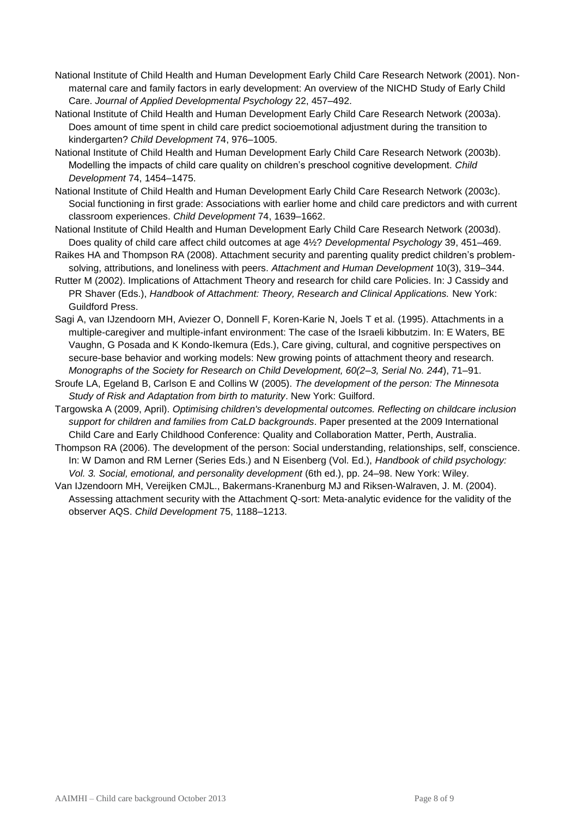- National Institute of Child Health and Human Development Early Child Care Research Network (2001). Nonmaternal care and family factors in early development: An overview of the NICHD Study of Early Child Care. *Journal of Applied Developmental Psychology* 22, 457–492.
- National Institute of Child Health and Human Development Early Child Care Research Network (2003a). Does amount of time spent in child care predict socioemotional adjustment during the transition to kindergarten? *Child Development* 74, 976–1005.
- National Institute of Child Health and Human Development Early Child Care Research Network (2003b). Modelling the impacts of child care quality on children's preschool cognitive development. *Child Development* 74, 1454–1475.
- National Institute of Child Health and Human Development Early Child Care Research Network (2003c). Social functioning in first grade: Associations with earlier home and child care predictors and with current classroom experiences. *Child Development* 74, 1639–1662.
- National Institute of Child Health and Human Development Early Child Care Research Network (2003d). Does quality of child care affect child outcomes at age 4½? *Developmental Psychology* 39, 451–469.
- Raikes HA and Thompson RA (2008). Attachment security and parenting quality predict children's problemsolving, attributions, and loneliness with peers. *Attachment and Human Development* 10(3), 319–344.
- Rutter M (2002). Implications of Attachment Theory and research for child care Policies. In: J Cassidy and PR Shaver (Eds.), *Handbook of Attachment: Theory, Research and Clinical Applications.* New York: Guildford Press.
- Sagi A, van IJzendoorn MH, Aviezer O, Donnell F, Koren-Karie N, Joels T et al. (1995). Attachments in a multiple-caregiver and multiple-infant environment: The case of the Israeli kibbutzim. In: E Waters, BE Vaughn, G Posada and K Kondo-Ikemura (Eds.), Care giving, cultural, and cognitive perspectives on secure-base behavior and working models: New growing points of attachment theory and research. *Monographs of the Society for Research on Child Development, 60(2–3, Serial No. 244*), 71–91.
- Sroufe LA, Egeland B, Carlson E and Collins W (2005). *The development of the person: The Minnesota Study of Risk and Adaptation from birth to maturity*. New York: Guilford.
- Targowska A (2009, April). *Optimising children's developmental outcomes. Reflecting on childcare inclusion support for children and families from CaLD backgrounds*. Paper presented at the 2009 International Child Care and Early Childhood Conference: Quality and Collaboration Matter, Perth, Australia.
- Thompson RA (2006). The development of the person: Social understanding, relationships, self, conscience. In: W Damon and RM Lerner (Series Eds.) and N Eisenberg (Vol. Ed.), *Handbook of child psychology: Vol. 3. Social, emotional, and personality development* (6th ed.), pp. 24–98. New York: Wiley.
- Van IJzendoorn MH, Vereijken CMJL., Bakermans-Kranenburg MJ and Riksen-Walraven, J. M. (2004). Assessing attachment security with the Attachment Q-sort: Meta-analytic evidence for the validity of the observer AQS. *Child Development* 75, 1188–1213.